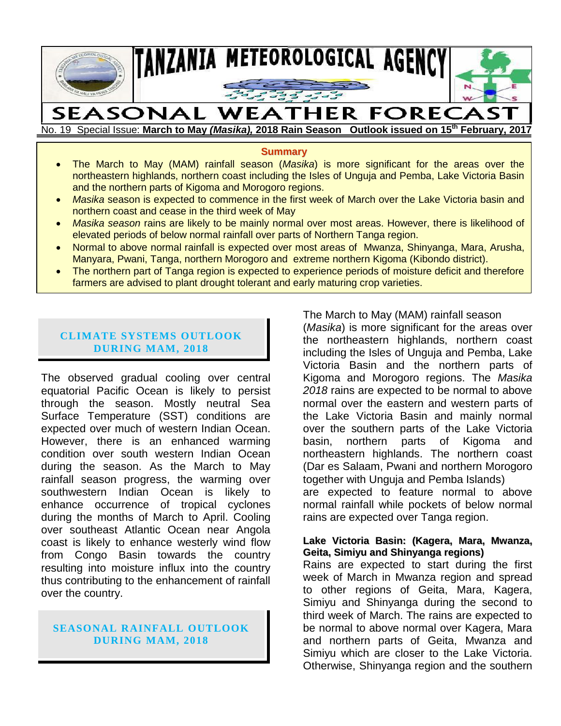

# No. 19 Special Issue: **March to May** *(Masika),* **2018 Rain Season Outlook issued on 15th February, 2017**

**Summary**

- The March to May (MAM) rainfall season (*Masika*) is more significant for the areas over the northeastern highlands, northern coast including the Isles of Unguja and Pemba, Lake Victoria Basin and the northern parts of Kigoma and Morogoro regions.
- *Masika* season is expected to commence in the first week of March over the Lake Victoria basin and northern coast and cease in the third week of May
- *Masika season* rains are likely to be mainly normal over most areas. However, there is likelihood of elevated periods of below normal rainfall over parts of Northern Tanga region.
- Normal to above normal rainfall is expected over most areas of Mwanza, Shinyanga, Mara, Arusha, Manyara, Pwani, Tanga, northern Morogoro and extreme northern Kigoma (Kibondo district).
- The northern part of Tanga region is expected to experience periods of moisture deficit and therefore farmers are advised to plant drought tolerant and early maturing crop varieties.

# **CLIMATE SYSTEMS OUTLOOK DURING MAM, 2018**

The observed gradual cooling over central equatorial Pacific Ocean is likely to persist through the season. Mostly neutral Sea Surface Temperature (SST) conditions are expected over much of western Indian Ocean. However, there is an enhanced warming condition over south western Indian Ocean during the season. As the March to May rainfall season progress, the warming over southwestern Indian Ocean is likely to enhance occurrence of tropical cyclones during the months of March to April. Cooling over southeast Atlantic Ocean near Angola coast is likely to enhance westerly wind flow from Congo Basin towards the country resulting into moisture influx into the country thus contributing to the enhancement of rainfall over the country.

# **SEASONAL RAINFALL OUTLOOK DURING MAM, 2018**

The March to May (MAM) rainfall season

(*Masika*) is more significant for the areas over the northeastern highlands, northern coast including the Isles of Unguja and Pemba, Lake Victoria Basin and the northern parts of Kigoma and Morogoro regions. The *Masika 2018* rains are expected to be normal to above normal over the eastern and western parts of the Lake Victoria Basin and mainly normal over the southern parts of the Lake Victoria basin, northern parts of Kigoma and northeastern highlands. The northern coast (Dar es Salaam, Pwani and northern Morogoro together with Unguja and Pemba Islands) are expected to feature normal to above normal rainfall while pockets of below normal rains are expected over Tanga region.

#### **Lake Victoria Basin: (Kagera, Mara, Mwanza, Geita, Simiyu and Shinyanga regions)**

Rains are expected to start during the first week of March in Mwanza region and spread to other regions of Geita, Mara, Kagera, Simiyu and Shinyanga during the second to third week of March. The rains are expected to be normal to above normal over Kagera, Mara and northern parts of Geita, Mwanza and Simiyu which are closer to the Lake Victoria. Otherwise, Shinyanga region and the southern